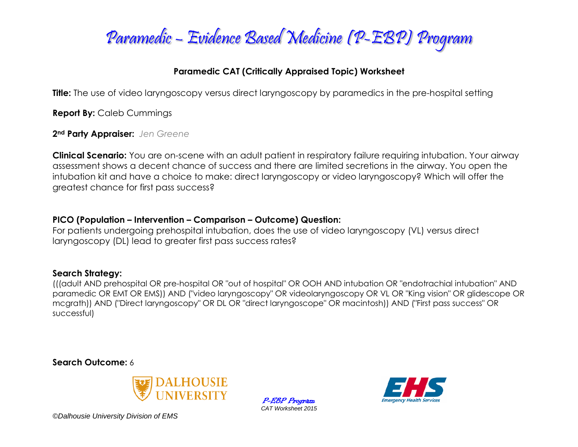

### **Paramedic CAT (Critically Appraised Topic) Worksheet**

**Title:** The use of video laryngoscopy versus direct laryngoscopy by paramedics in the pre-hospital setting

**Report By:** Caleb Cummings

**2nd Party Appraiser:** *Jen Greene* 

**Clinical Scenario:** You are on-scene with an adult patient in respiratory failure requiring intubation. Your airway assessment shows a decent chance of success and there are limited secretions in the airway. You open the intubation kit and have a choice to make: direct laryngoscopy or video laryngoscopy? Which will offer the greatest chance for first pass success?

### **PICO (Population – Intervention – Comparison – Outcome) Question:**

For patients undergoing prehospital intubation, does the use of video laryngoscopy (VL) versus direct laryngoscopy (DL) lead to greater first pass success rates?

### **Search Strategy:**

(((adult AND prehospital OR pre-hospital OR "out of hospital" OR OOH AND intubation OR "endotrachial intubation" AND paramedic OR EMT OR EMS)) AND ("video laryngoscopy" OR videolaryngoscopy OR VL OR "King vision" OR glidescope OR mcgrath)) AND ("Direct laryngoscopy" OR DL OR "direct laryngoscope" OR macintosh)) AND ("First pass success" OR successful)

**Search Outcome:** 6



P-EBP Program *CAT Worksheet 2015*

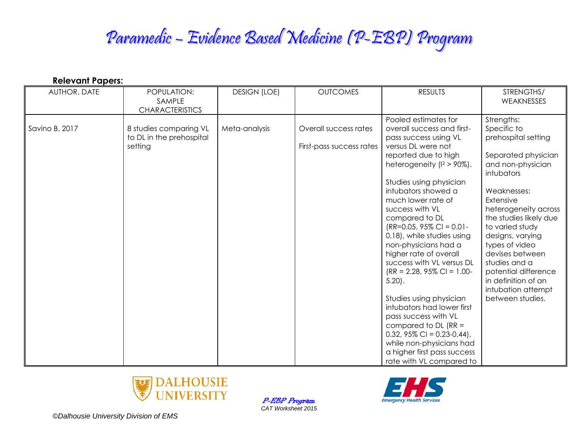## Paramedic – Evidence Based Medicine (P-EBP) Program

| <b>Relevant Papers:</b> |                                                               |                     |                                                   |                                                                                                                                                                                                                                                                                                                                                                                                                                                                                                                                                                                                                                                                                          |                                                                                                                                                                                                                                                                                                                                                                                |  |  |
|-------------------------|---------------------------------------------------------------|---------------------|---------------------------------------------------|------------------------------------------------------------------------------------------------------------------------------------------------------------------------------------------------------------------------------------------------------------------------------------------------------------------------------------------------------------------------------------------------------------------------------------------------------------------------------------------------------------------------------------------------------------------------------------------------------------------------------------------------------------------------------------------|--------------------------------------------------------------------------------------------------------------------------------------------------------------------------------------------------------------------------------------------------------------------------------------------------------------------------------------------------------------------------------|--|--|
| <b>AUTHOR, DATE</b>     | POPULATION:<br>SAMPLE<br><b>CHARACTERISTICS</b>               | <b>DESIGN (LOE)</b> | <b>OUTCOMES</b>                                   | <b>RESULTS</b>                                                                                                                                                                                                                                                                                                                                                                                                                                                                                                                                                                                                                                                                           | STRENGTHS/<br>WEAKNESSES                                                                                                                                                                                                                                                                                                                                                       |  |  |
| Savino B. 2017          | 8 studies comparing VL<br>to DL in the prehospital<br>setting | Meta-analysis       | Overall success rates<br>First-pass success rates | Pooled estimates for<br>overall success and first-<br>pass success using VL<br>versus DL were not<br>reported due to high<br>heterogeneity $(1^2 > 90\%)$ .<br>Studies using physician<br>intubators showed a<br>much lower rate of<br>success with VL<br>compared to DL<br>$(RR=0.05, 95\% \text{ Cl} = 0.01 -$<br>0.18), while studies using<br>non-physicians had a<br>higher rate of overall<br>success with VL versus DL<br>$(RR = 2.28, 95\% \text{ Cl} = 1.00$<br>$5.20$ .<br>Studies using physician<br>intubators had lower first<br>pass success with VL<br>compared to DL $(RR =$<br>0.32, $95\%$ CI = 0.23-0.44),<br>while non-physicians had<br>a higher first pass success | Strengths:<br>Specific to<br>prehospital setting<br>Separated physician<br>and non-physician<br>intubators<br>Weaknesses:<br>Extensive<br>heterogeneity across<br>the studies likely due<br>to varied study<br>designs, varying<br>types of video<br>devises between<br>studies and a<br>potential difference<br>in definition of an<br>intubation attempt<br>between studies. |  |  |
|                         |                                                               |                     |                                                   | rate with VL compared to                                                                                                                                                                                                                                                                                                                                                                                                                                                                                                                                                                                                                                                                 |                                                                                                                                                                                                                                                                                                                                                                                |  |  |



P-EBP Program *CAT Worksheet 2015*

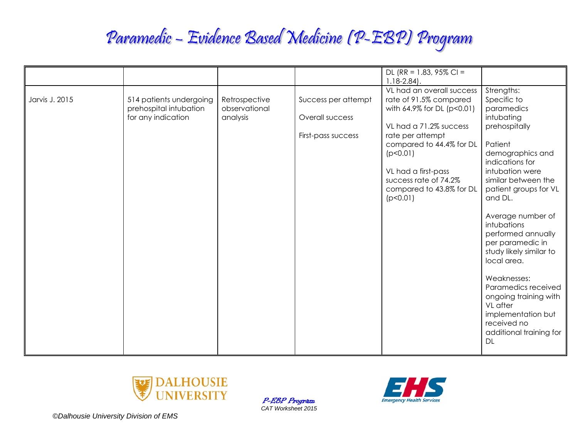# Paramedic – Evidence Based Medicine (P-EBP) Program

|                |                                                                         |                                            |                                                              | DL (RR = 1.83, 95% CI =                                                                                                                                                                                                                                         |                                                                                                                                                                                                                                            |
|----------------|-------------------------------------------------------------------------|--------------------------------------------|--------------------------------------------------------------|-----------------------------------------------------------------------------------------------------------------------------------------------------------------------------------------------------------------------------------------------------------------|--------------------------------------------------------------------------------------------------------------------------------------------------------------------------------------------------------------------------------------------|
|                |                                                                         |                                            |                                                              | $1.18 - 2.84$ ).                                                                                                                                                                                                                                                |                                                                                                                                                                                                                                            |
| Jarvis J. 2015 | 514 patients undergoing<br>prehospital intubation<br>for any indication | Retrospective<br>observational<br>analysis | Success per attempt<br>Overall success<br>First-pass success | VL had an overall success<br>rate of 91.5% compared<br>with 64.9% for DL (p<0.01)<br>VL had a 71.2% success<br>rate per attempt<br>compared to 44.4% for DL<br>(p<0.01)<br>VL had a first-pass<br>success rate of 74.2%<br>compared to 43.8% for DL<br>(p<0.01) | Strengths:<br>Specific to<br>paramedics<br>intubating<br>prehospitally<br>Patient<br>demographics and<br>indications for<br>intubation were<br>similar between the<br>patient groups for VL<br>and DL.<br>Average number of<br>intubations |
|                |                                                                         |                                            |                                                              |                                                                                                                                                                                                                                                                 | performed annually<br>per paramedic in<br>study likely similar to<br>local area.<br>Weaknesses:<br>Paramedics received<br>ongoing training with<br>VL after<br>implementation but<br>received no<br>additional training for<br>DL          |



P-EBP Program *CAT Worksheet 2015*

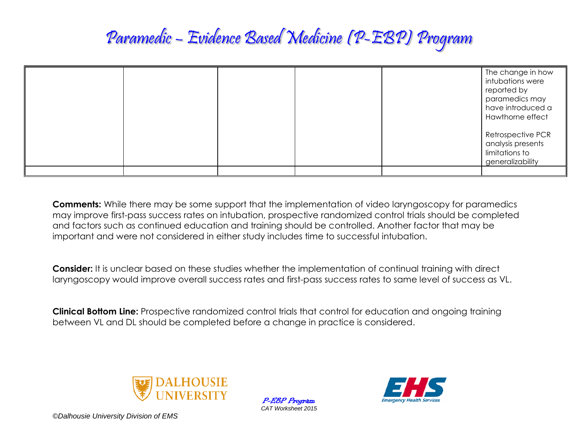### Paramedic – Evidence Based Medicine (P-EBP) Program

|  |  | The change in how<br>intubations were<br>reported by<br>paramedics may<br>have introduced a<br>Hawthorne effect<br>Retrospective PCR<br>analysis presents<br>limitations to |
|--|--|-----------------------------------------------------------------------------------------------------------------------------------------------------------------------------|
|  |  | generalizability                                                                                                                                                            |

**Comments:** While there may be some support that the implementation of video laryngoscopy for paramedics may improve first-pass success rates on intubation, prospective randomized control trials should be completed and factors such as continued education and training should be controlled. Another factor that may be important and were not considered in either study includes time to successful intubation.

**Consider:** It is unclear based on these studies whether the implementation of continual training with direct laryngoscopy would improve overall success rates and first-pass success rates to same level of success as VL.

**Clinical Bottom Line:** Prospective randomized control trials that control for education and ongoing training between VL and DL should be completed before a change in practice is considered.



P-EBP Program *CAT Worksheet 2015*